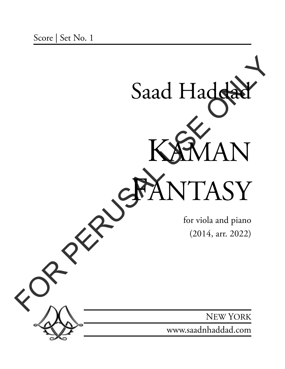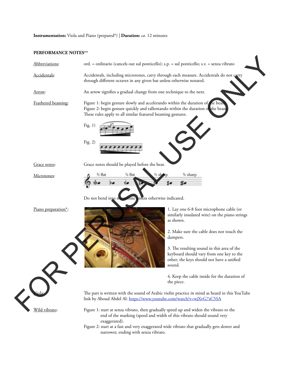## **Instrumentation:** Viola and Piano (prepared\*) | **Duration:** *ca.* 12 minutes

## **PERFORMANCE NOTES\*\***

| Abbreviations:        | ord. = ordinario (cancels out sul ponticello); s.p. = sul ponticello; s.v. = senza vibrato                                                                                                                                       |
|-----------------------|----------------------------------------------------------------------------------------------------------------------------------------------------------------------------------------------------------------------------------|
| Accidentals:          | Accidentals, including microtones, carry through each measure. Accidentals do not carry<br>through different octaves in any given bar unless otherwise notated.                                                                  |
| Arrow:                | An arrow signifies a gradual change from one technique to the next.                                                                                                                                                              |
| Feathered beaming:    | Figure 1: begin gesture slowly and accelerando within the duration of the bean<br>Figure 2: begin gesture quickly and rallentando within the duration of the beam<br>These rules apply to all similar featured beaming gestures. |
|                       | Fig. $1)$                                                                                                                                                                                                                        |
|                       | Fig. $2)$                                                                                                                                                                                                                        |
| Grace notes:          | Grace notes should be played before the beat.                                                                                                                                                                                    |
| Microtones:           | % flat<br>% flat<br>% sharp                                                                                                                                                                                                      |
|                       | Do not bend into m<br>erotone unless otherwise indicated.                                                                                                                                                                        |
| Piano preparation*:   | 1. Lay one 6-8 foot microphone cable (or<br>similarly insulated wire) on the piano strings<br>as shown.                                                                                                                          |
|                       | 2. Make sure the cable does not touch the<br>dampers.                                                                                                                                                                            |
|                       | 3. The resulting sound in this area of the<br>keyboard should vary from one key to the<br>other; the keys should not have a unified<br>sound.                                                                                    |
|                       | 4. Keep the cable inside for the duration of<br>the piece.                                                                                                                                                                       |
|                       | The part is written with the sound of Arabic violin practice in mind as heard in this YouTube<br>link by Aboud Abdel Al: https://www.youtube.com/watch?v=wjXvG7sC5SA                                                             |
| <u>Wild vibrato</u> : | Figure 1: start at senza vibrato, then gradually speed up and widen the vibrato to the<br>end of the marking (speed and width of this vibrato should sound very<br>exaggerated).                                                 |
|                       | Figure 2: start at a fast and very exaggerated wide vibrato that gradually gets slower and<br>narrower, ending with senza vibrato.                                                                                               |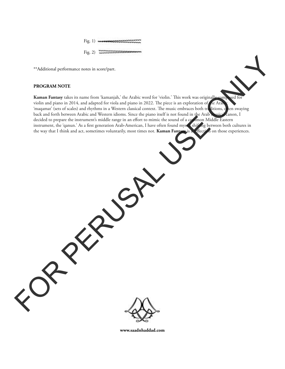Fig.  $1)$ . Fig. 2)  $\frac{3}{2}$ 

\*\*Additional performance notes in score/part.

## **PROGRAM NOTE**

Kaman Fantasy takes its name from 'kamanjah,' the Arabic word for 'violin.' This work was originally composed for violin and piano in 2014, and adapted for viola and piano in 2022. The piece is an exploration of the Arab 'maqamat' (sets of scales) and rhythms in a Western classical context. The music embraces both traditions, often swaying back and forth between Arabic and Western idioms. Since the piano itself is not found in the Arab musical canon, I decided to prepare the instrument's middle range in an effort to mimic the sound of a common Middle Eastern instrument, the 'qanun.' As a first generation Arab-American, I have often found myself shifting between both cultures in the way that I think and act, sometimes voluntarily, most times not. **Kaman Fantasy** is a reflection on those experiences. FOR PERUSAL USE ONLY



**www.saadnhaddad.com**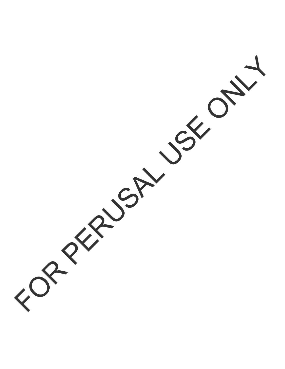FOR PERUSAL USE ONLY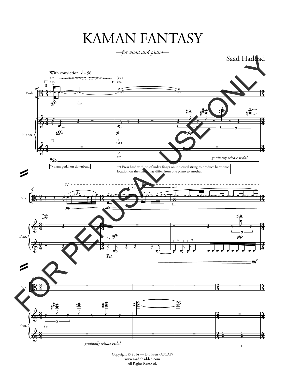## KAMAN FANTASY



Copyright © 2014 — Dib Press (ASCAP) www.saadnhaddad.com All Rights Reserved.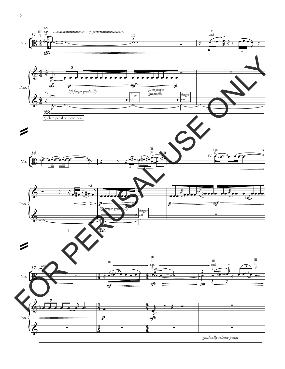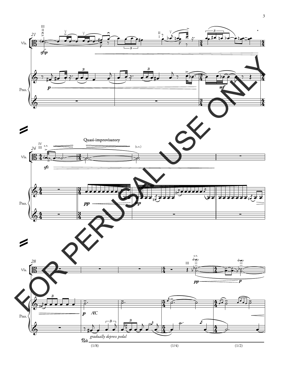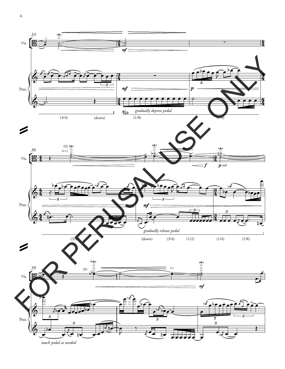

 $\sqrt{4}$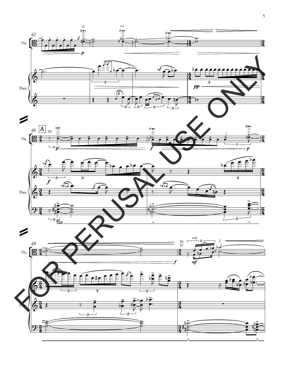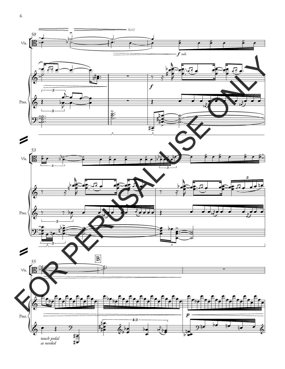

 $\sqrt{6}$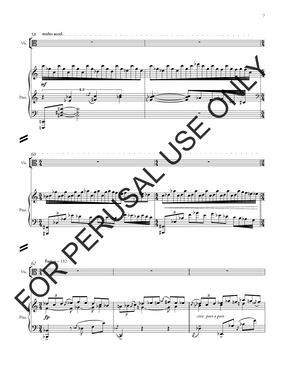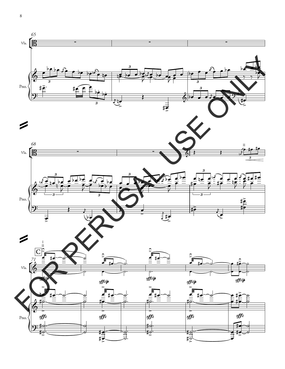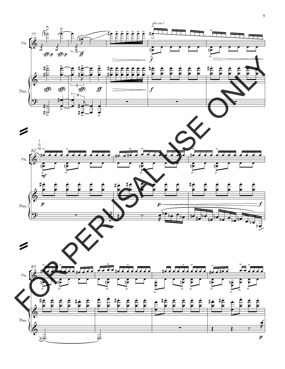

 $\overline{9}$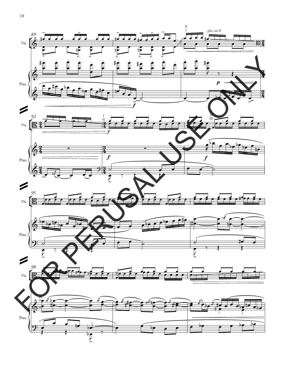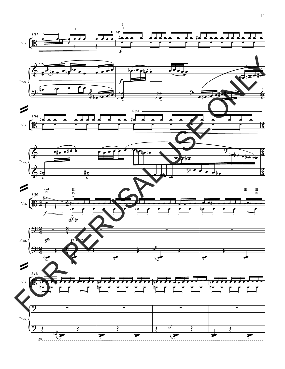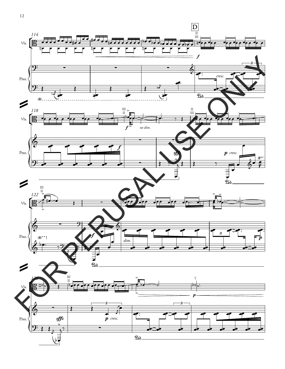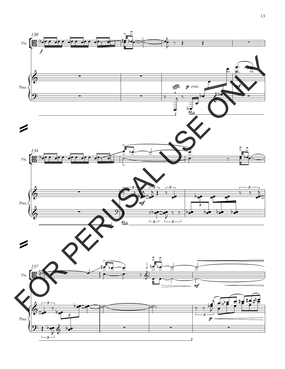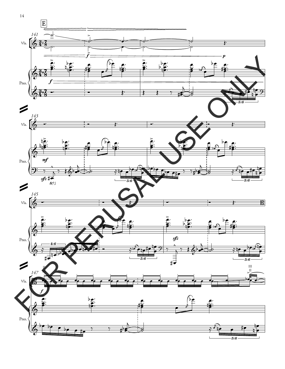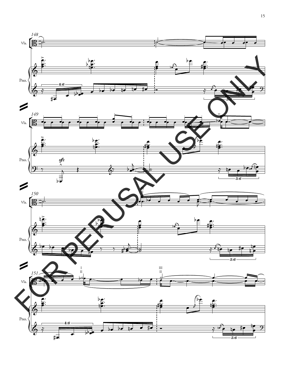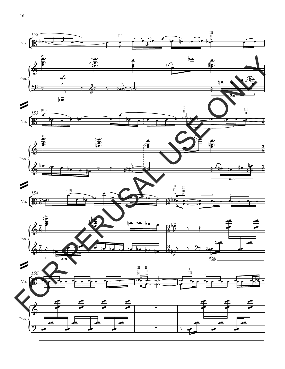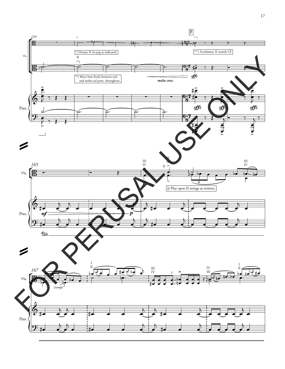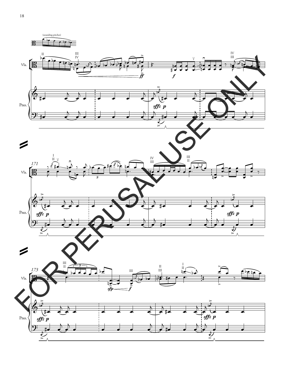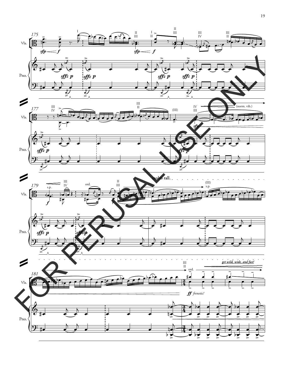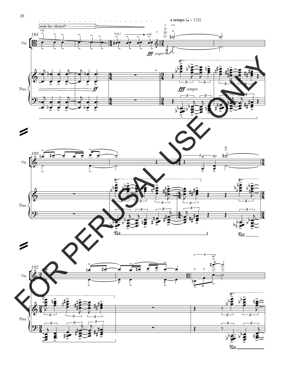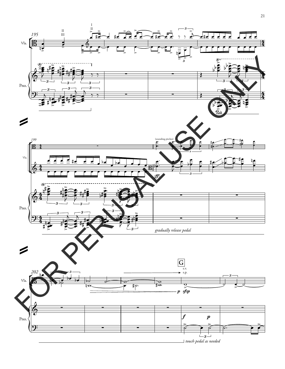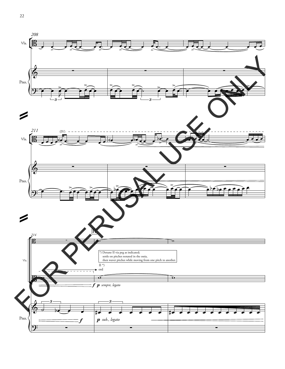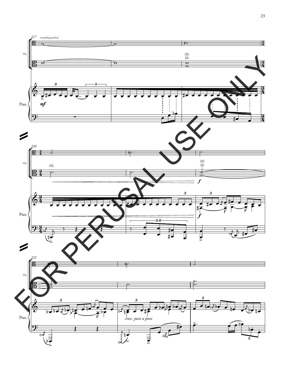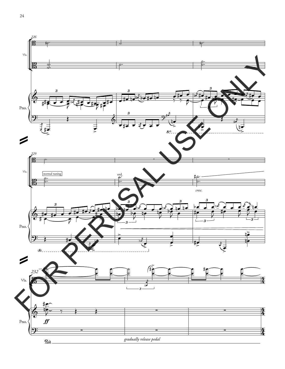

24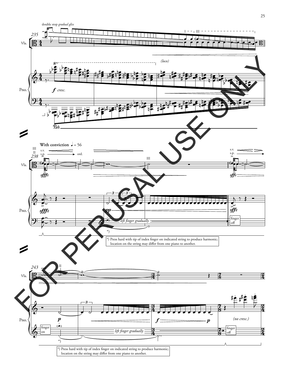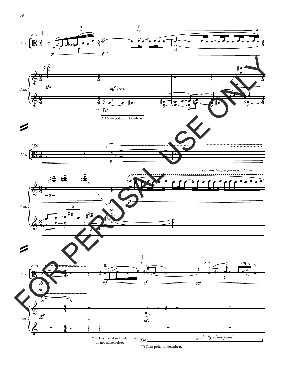

<sup>26</sup>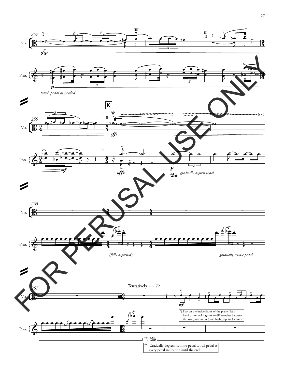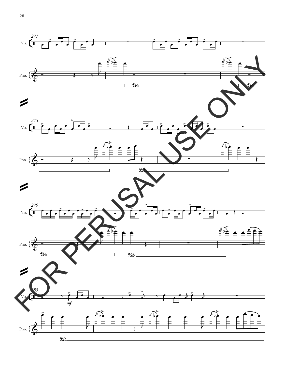